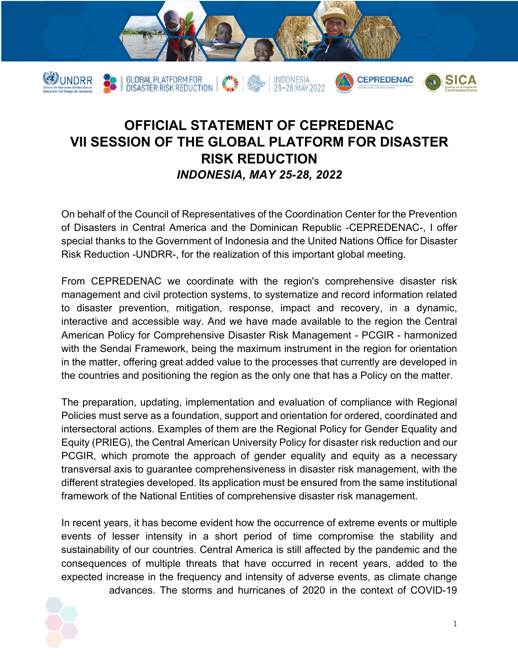

## **OFFICIAL STATEMENT OF CEPREDENAC VII SESSION OF THE GLOBAL PLATFORM FOR DISASTER RISK REDUCTION** *INDONESIA, MAY 25-28, 2022*

On behalf of the Council of Representatives of the Coordination Center for the Prevention of Disasters in Central America and the Dominican Republic -CEPREDENAC-, I offer special thanks to the Government of Indonesia and the United Nations Office for Disaster Risk Reduction -UNDRR-, for the realization of this important global meeting.

From CEPREDENAC we coordinate with the region's comprehensive disaster risk management and civil protection systems, to systematize and record information related to disaster prevention, mitigation, response, impact and recovery, in a dynamic, interactive and accessible way. And we have made available to the region the Central American Policy for Comprehensive Disaster Risk Management - PCGIR - harmonized with the Sendai Framework, being the maximum instrument in the region for orientation in the matter, offering great added value to the processes that currently are developed in the countries and positioning the region as the only one that has a Policy on the matter.

The preparation, updating, implementation and evaluation of compliance with Regional Policies must serve as a foundation, support and orientation for ordered, coordinated and intersectoral actions. Examples of them are the Regional Policy for Gender Equality and Equity (PRIEG), the Central American University Policy for disaster risk reduction and our PCGIR, which promote the approach of gender equality and equity as a necessary transversal axis to guarantee comprehensiveness in disaster risk management, with the different strategies developed. Its application must be ensured from the same institutional framework of the National Entities of comprehensive disaster risk management.

In recent years, it has become evident how the occurrence of extreme events or multiple events of lesser intensity in a short period of time compromise the stability and sustainability of our countries. Central America is still affected by the pandemic and the consequences of multiple threats that have occurred in recent years, added to the expected increase in the frequency and intensity of adverse events, as climate change advances. The storms and hurricanes of 2020 in the context of COVID-19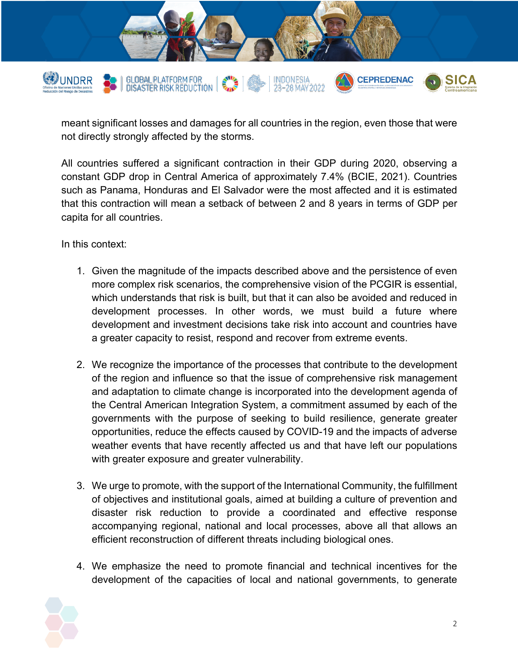

meant significant losses and damages for all countries in the region, even those that were not directly strongly affected by the storms.

All countries suffered a significant contraction in their GDP during 2020, observing a constant GDP drop in Central America of approximately 7.4% (BCIE, 2021). Countries such as Panama, Honduras and El Salvador were the most affected and it is estimated that this contraction will mean a setback of between 2 and 8 years in terms of GDP per capita for all countries.

In this context:

- 1. Given the magnitude of the impacts described above and the persistence of even more complex risk scenarios, the comprehensive vision of the PCGIR is essential, which understands that risk is built, but that it can also be avoided and reduced in development processes. In other words, we must build a future where development and investment decisions take risk into account and countries have a greater capacity to resist, respond and recover from extreme events.
- 2. We recognize the importance of the processes that contribute to the development of the region and influence so that the issue of comprehensive risk management and adaptation to climate change is incorporated into the development agenda of the Central American Integration System, a commitment assumed by each of the governments with the purpose of seeking to build resilience, generate greater opportunities, reduce the effects caused by COVID-19 and the impacts of adverse weather events that have recently affected us and that have left our populations with greater exposure and greater vulnerability.
- 3. We urge to promote, with the support of the International Community, the fulfillment of objectives and institutional goals, aimed at building a culture of prevention and disaster risk reduction to provide a coordinated and effective response accompanying regional, national and local processes, above all that allows an efficient reconstruction of different threats including biological ones.
- 4. We emphasize the need to promote financial and technical incentives for the development of the capacities of local and national governments, to generate